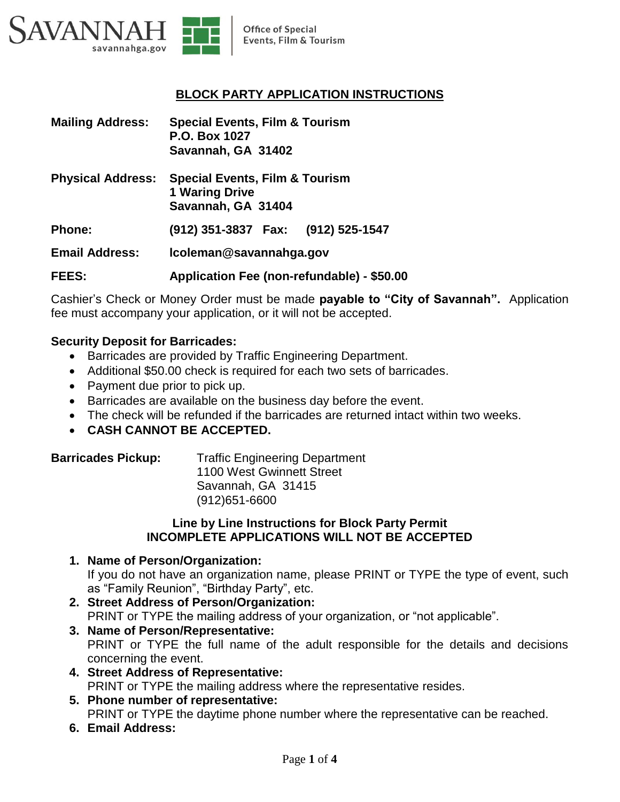

# **BLOCK PARTY APPLICATION INSTRUCTIONS**

| <b>Mailing Address:</b>  | <b>Special Events, Film &amp; Tourism</b><br>P.O. Box 1027<br>Savannah, GA 31402         |
|--------------------------|------------------------------------------------------------------------------------------|
| <b>Physical Address:</b> | <b>Special Events, Film &amp; Tourism</b><br><b>1 Waring Drive</b><br>Savannah, GA 31404 |
| <b>Phone:</b>            | (912) 351-3837    Fax: (912) 525-1547                                                    |
| <b>Email Address:</b>    | Icoleman@savannahga.gov                                                                  |
| <b>FEES:</b>             | Application Fee (non-refundable) - \$50.00                                               |

Cashier's Check or Money Order must be made **payable to "City of Savannah".** Application fee must accompany your application, or it will not be accepted.

## **Security Deposit for Barricades:**

- Barricades are provided by Traffic Engineering Department.
- Additional \$50.00 check is required for each two sets of barricades.
- Payment due prior to pick up.
- Barricades are available on the business day before the event.
- The check will be refunded if the barricades are returned intact within two weeks.
- **CASH CANNOT BE ACCEPTED.**

| <b>Barricades Pickup:</b> | <b>Traffic Engineering Department</b> |
|---------------------------|---------------------------------------|
|                           | 1100 West Gwinnett Street             |
|                           | Savannah, GA 31415                    |

(912)651-6600 **Line by Line Instructions for Block Party Permit**

# **INCOMPLETE APPLICATIONS WILL NOT BE ACCEPTED**

# **1. Name of Person/Organization:**

If you do not have an organization name, please PRINT or TYPE the type of event, such as "Family Reunion", "Birthday Party", etc.

- **2. Street Address of Person/Organization:** PRINT or TYPE the mailing address of your organization, or "not applicable".
- **3. Name of Person/Representative:** PRINT or TYPE the full name of the adult responsible for the details and decisions concerning the event.
- **4. Street Address of Representative:** PRINT or TYPE the mailing address where the representative resides.
- **5. Phone number of representative:** PRINT or TYPE the daytime phone number where the representative can be reached.
- **6. Email Address:**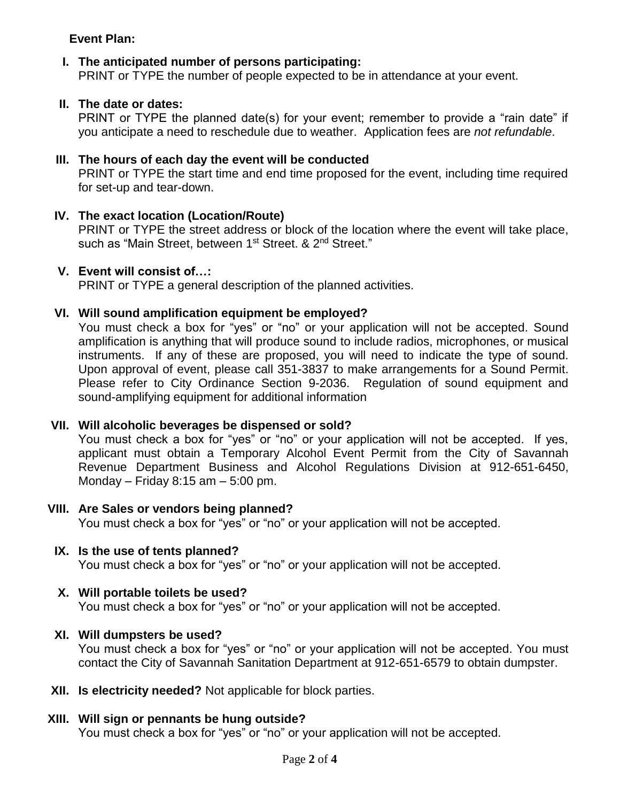# **Event Plan:**

### **I. The anticipated number of persons participating:**

PRINT or TYPE the number of people expected to be in attendance at your event.

#### **II. The date or dates:**

PRINT or TYPE the planned date(s) for your event; remember to provide a "rain date" if you anticipate a need to reschedule due to weather. Application fees are *not refundable*.

#### **III. The hours of each day the event will be conducted**

PRINT or TYPE the start time and end time proposed for the event, including time required for set-up and tear-down.

## **IV. The exact location (Location/Route)**

PRINT or TYPE the street address or block of the location where the event will take place, such as "Main Street, between 1<sup>st</sup> Street. & 2<sup>nd</sup> Street."

#### **V. Event will consist of…:**

PRINT or TYPE a general description of the planned activities.

#### **VI. Will sound amplification equipment be employed?**

You must check a box for "yes" or "no" or your application will not be accepted. Sound amplification is anything that will produce sound to include radios, microphones, or musical instruments. If any of these are proposed, you will need to indicate the type of sound. Upon approval of event, please call 351-3837 to make arrangements for a Sound Permit. Please refer to City Ordinance Section 9-2036. Regulation of sound equipment and sound-amplifying equipment for additional information

## **VII. Will alcoholic beverages be dispensed or sold?**

You must check a box for "yes" or "no" or your application will not be accepted. If yes, applicant must obtain a Temporary Alcohol Event Permit from the City of Savannah Revenue Department Business and Alcohol Regulations Division at 912-651-6450, Monday – Friday 8:15 am – 5:00 pm.

#### **VIII. Are Sales or vendors being planned?**

You must check a box for "yes" or "no" or your application will not be accepted.

#### **IX. Is the use of tents planned?** You must check a box for "yes" or "no" or your application will not be accepted.

#### **X. Will portable toilets be used?**

You must check a box for "yes" or "no" or your application will not be accepted.

#### **XI. Will dumpsters be used?**

You must check a box for "yes" or "no" or your application will not be accepted. You must contact the City of Savannah Sanitation Department at 912-651-6579 to obtain dumpster.

**XII. Is electricity needed?** Not applicable for block parties.

#### **XIII. Will sign or pennants be hung outside?**

You must check a box for "yes" or "no" or your application will not be accepted.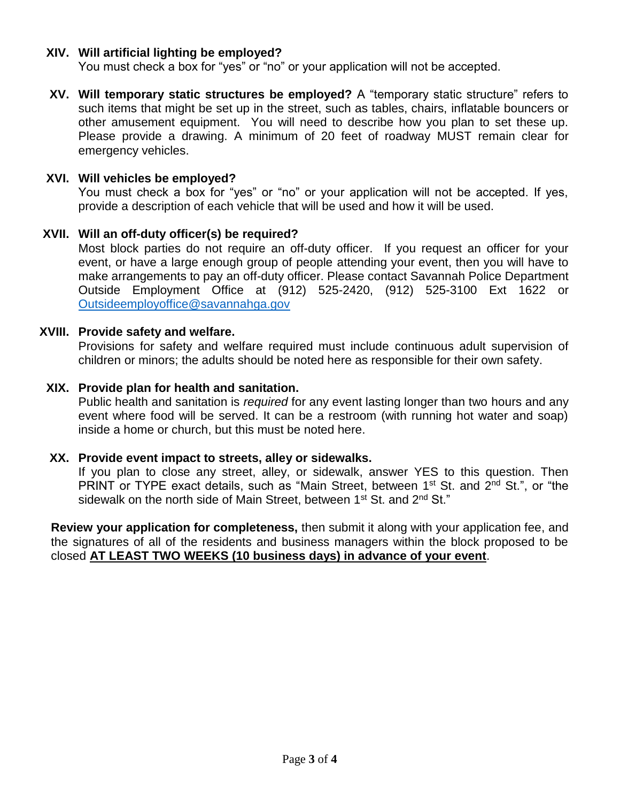# **XIV. Will artificial lighting be employed?**

You must check a box for "yes" or "no" or your application will not be accepted.

**XV. Will temporary static structures be employed?** A "temporary static structure" refers to such items that might be set up in the street, such as tables, chairs, inflatable bouncers or other amusement equipment. You will need to describe how you plan to set these up. Please provide a drawing. A minimum of 20 feet of roadway MUST remain clear for emergency vehicles.

## **XVI. Will vehicles be employed?**

You must check a box for "yes" or "no" or your application will not be accepted. If yes, provide a description of each vehicle that will be used and how it will be used.

# **XVII. Will an off-duty officer(s) be required?**

Most block parties do not require an off-duty officer. If you request an officer for your event, or have a large enough group of people attending your event, then you will have to make arrangements to pay an off-duty officer. Please contact Savannah Police Department Outside Employment Office at (912) 525-2420, (912) 525-3100 Ext 1622 or [Outsideemployoffice@savannahga.gov](mailto:Outsideemployoffice@savannahga.gov)

## **XVIII. Provide safety and welfare.**

Provisions for safety and welfare required must include continuous adult supervision of children or minors; the adults should be noted here as responsible for their own safety.

# **XIX. Provide plan for health and sanitation.**

Public health and sanitation is *required* for any event lasting longer than two hours and any event where food will be served. It can be a restroom (with running hot water and soap) inside a home or church, but this must be noted here.

## **XX. Provide event impact to streets, alley or sidewalks.**

If you plan to close any street, alley, or sidewalk, answer YES to this question. Then PRINT or TYPE exact details, such as "Main Street, between 1<sup>st</sup> St. and 2<sup>nd</sup> St.", or "the sidewalk on the north side of Main Street, between 1<sup>st</sup> St. and 2<sup>nd</sup> St."

**Review your application for completeness,** then submit it along with your application fee, and the signatures of all of the residents and business managers within the block proposed to be closed **AT LEAST TWO WEEKS (10 business days) in advance of your event**.